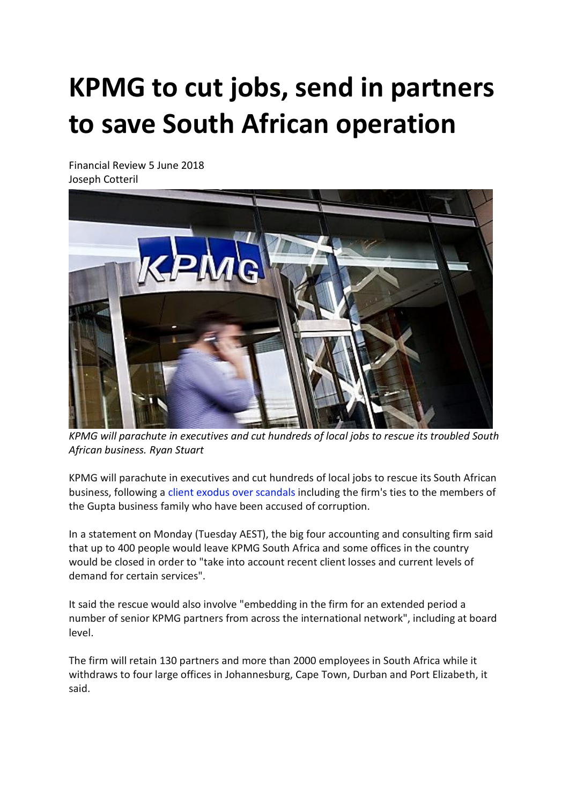## **KPMG to cut jobs, send in partners to save South African operation**

Financial Review 5 June 2018 Joseph Cotteril



*KPMG will parachute in executives and cut hundreds of local jobs to rescue its troubled South African business. Ryan Stuart*

KPMG will parachute in executives and cut hundreds of local jobs to rescue its South African business, following a client exodus over [scandals](https://www.afr.com/business/accounting/kpmg-south-africa-fights-for-survival-as-public-image-shattered-20180417-h0ywlk) including the firm's ties to the members of the Gupta business family who have been accused of corruption.

In a statement on Monday (Tuesday AEST), the big four accounting and consulting firm said that up to 400 people would leave KPMG South Africa and some offices in the country would be closed in order to "take into account recent client losses and current levels of demand for certain services".

It said the rescue would also involve "embedding in the firm for an extended period a number of senior KPMG partners from across the international network", including at board level.

The firm will retain 130 partners and more than 2000 employees in South Africa while it withdraws to four large offices in Johannesburg, Cape Town, Durban and Port Elizabeth, it said.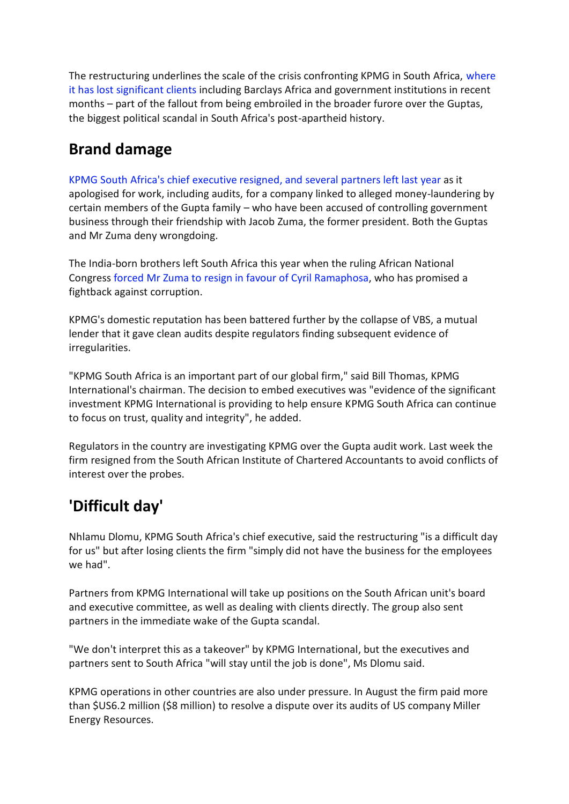The restructuring underlines the scale of the crisis confronting KPMG in South Africa, [where](http://www.afr.com/business/accounting/kpmg-loses-third-client-in-south-africa-20170919-gykw2t) it has lost [significant](http://www.afr.com/business/accounting/kpmg-loses-third-client-in-south-africa-20170919-gykw2t) clients including Barclays Africa and government institutions in recent months – part of the fallout from being embroiled in the broader furore over the Guptas, the biggest political scandal in South Africa's post-apartheid history.

## **Brand damage**

KPMG South Africa's chief [executive](http://www.afr.com/business/accounting/kpmgs-south-african-boss-quits-over-graft-probe-mckinsey-next-20170916-gyj07c) resigned, and several partners left last year as it apologised for work, including audits, for a company linked to alleged money-laundering by certain members of the Gupta family – who have been accused of controlling government business through their friendship with Jacob Zuma, the former president. Both the Guptas and Mr Zuma deny wrongdoing.

The India-born brothers left South Africa this year when the ruling African National Congress forced Mr Zuma to resign in favour of Cyril [Ramaphosa,](https://www.afr.com/news/politics/world/cyril-ramaphosa-sworn-in-as-president-as-south-africa-police-raid-gupta-home-20180215-h0w6dm) who has promised a fightback against corruption.

KPMG's domestic reputation has been battered further by the collapse of VBS, a mutual lender that it gave clean audits despite regulators finding subsequent evidence of irregularities.

"KPMG South Africa is an important part of our global firm," said Bill Thomas, KPMG International's chairman. The decision to embed executives was "evidence of the significant investment KPMG International is providing to help ensure KPMG South Africa can continue to focus on trust, quality and integrity", he added.

Regulators in the country are investigating KPMG over the Gupta audit work. Last week the firm resigned from the South African Institute of Chartered Accountants to avoid conflicts of interest over the probes.

## **'Difficult day'**

Nhlamu Dlomu, KPMG South Africa's chief executive, said the restructuring "is a difficult day for us" but after losing clients the firm "simply did not have the business for the employees we had".

Partners from KPMG International will take up positions on the South African unit's board and executive committee, as well as dealing with clients directly. The group also sent partners in the immediate wake of the Gupta scandal.

"We don't interpret this as a takeover" by KPMG International, but the executives and partners sent to South Africa "will stay until the job is done", Ms Dlomu said.

KPMG operations in other countries are also under pressure. In August the firm paid more than \$US6.2 million (\$8 million) to resolve a dispute over its audits of US company Miller Energy Resources.